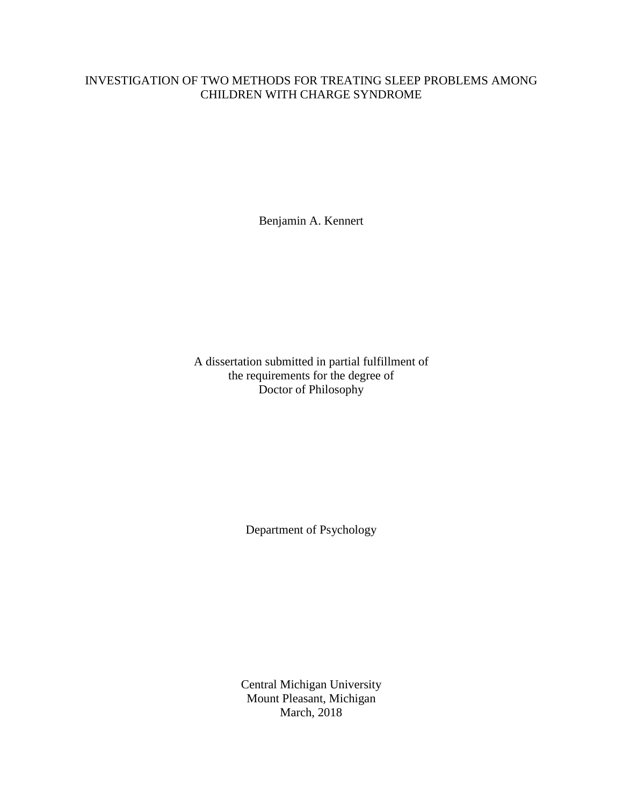## INVESTIGATION OF TWO METHODS FOR TREATING SLEEP PROBLEMS AMONG CHILDREN WITH CHARGE SYNDROME

Benjamin A. Kennert

A dissertation submitted in partial fulfillment of the requirements for the degree of Doctor of Philosophy

Department of Psychology

Central Michigan University Mount Pleasant, Michigan March, 2018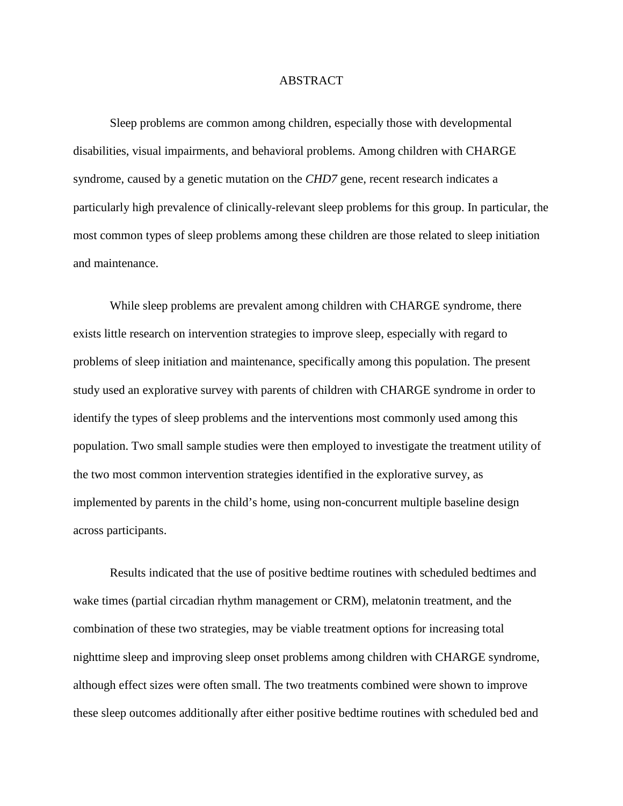## ABSTRACT

Sleep problems are common among children, especially those with developmental disabilities, visual impairments, and behavioral problems. Among children with CHARGE syndrome, caused by a genetic mutation on the *CHD7* gene, recent research indicates a particularly high prevalence of clinically-relevant sleep problems for this group. In particular, the most common types of sleep problems among these children are those related to sleep initiation and maintenance.

While sleep problems are prevalent among children with CHARGE syndrome, there exists little research on intervention strategies to improve sleep, especially with regard to problems of sleep initiation and maintenance, specifically among this population. The present study used an explorative survey with parents of children with CHARGE syndrome in order to identify the types of sleep problems and the interventions most commonly used among this population. Two small sample studies were then employed to investigate the treatment utility of the two most common intervention strategies identified in the explorative survey, as implemented by parents in the child's home, using non-concurrent multiple baseline design across participants.

Results indicated that the use of positive bedtime routines with scheduled bedtimes and wake times (partial circadian rhythm management or CRM), melatonin treatment, and the combination of these two strategies, may be viable treatment options for increasing total nighttime sleep and improving sleep onset problems among children with CHARGE syndrome, although effect sizes were often small. The two treatments combined were shown to improve these sleep outcomes additionally after either positive bedtime routines with scheduled bed and